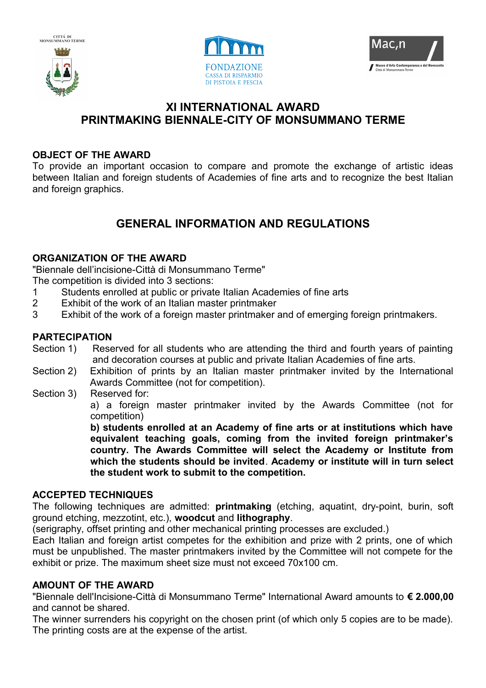





## **XI INTERNATIONAL AWARD PRINTMAKING BIENNALE-CITY OF MONSUMMANO TERME**

### **OBJECT OF THE AWARD**

To provide an important occasion to compare and promote the exchange of artistic ideas between Italian and foreign students of Academies of fine arts and to recognize the best Italian and foreign graphics.

# **GENERAL INFORMATION AND REGULATIONS**

### **ORGANIZATION OF THE AWARD**

"Biennale dell'incisione-Città di Monsummano Terme"

The competition is divided into 3 sections:

- 1 Students enrolled at public or private Italian Academies of fine arts
- 2 Exhibit of the work of an Italian master printmaker
- 3 Exhibit of the work of a foreign master printmaker and of emerging foreign printmakers.

### **PARTECIPATION**

- Section 1) Reserved for all students who are attending the third and fourth years of painting and decoration courses at public and private Italian Academies of fine arts.
- Section 2) Exhibition of prints by an Italian master printmaker invited by the International Awards Committee (not for competition).
- Section 3) Reserved for: a) a foreign master printmaker invited by the Awards Committee (not for competition)

**b) students enrolled at an Academy of fine arts or at institutions which have equivalent teaching goals, coming from the invited foreign printmaker's country. The Awards Committee will select the Academy or Institute from which the students should be invited**. **Academy or institute will in turn select the student work to submit to the competition.**

#### **ACCEPTED TECHNIQUES**

The following techniques are admitted: **printmaking** (etching, aquatint, dry-point, burin, soft ground etching, mezzotint, etc.), **woodcut** and **lithography**.

(serigraphy, offset printing and other mechanical printing processes are excluded.)

Each Italian and foreign artist competes for the exhibition and prize with 2 prints, one of which must be unpublished. The master printmakers invited by the Committee will not compete for the exhibit or prize. The maximum sheet size must not exceed 70x100 cm.

### **AMOUNT OF THE AWARD**

"Biennale dell'Incisione-Città di Monsummano Terme" International Award amounts to **€ 2.000,00** and cannot be shared.

The winner surrenders his copyright on the chosen print (of which only 5 copies are to be made). The printing costs are at the expense of the artist.